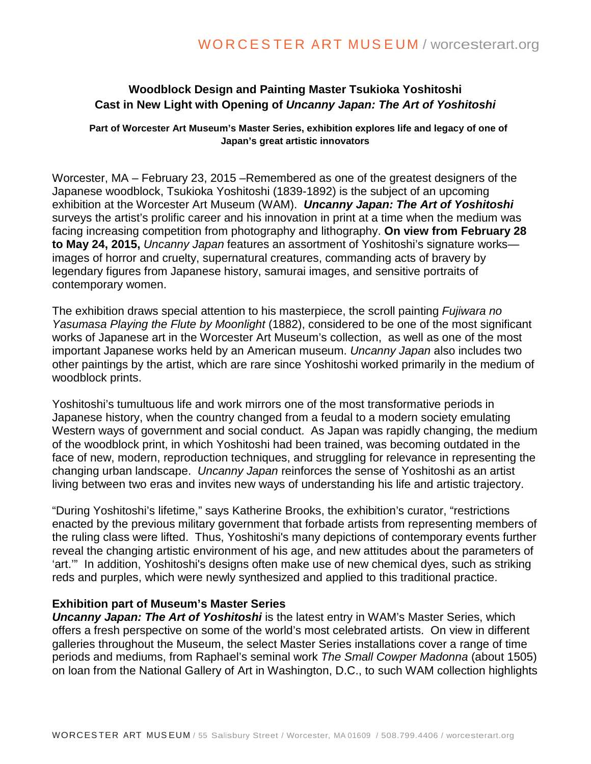# **Woodblock Design and Painting Master Tsukioka Yoshitoshi Cast in New Light with Opening of** *Uncanny Japan: The Art of Yoshitoshi*

**Part of Worcester Art Museum's Master Series, exhibition explores life and legacy of one of Japan's great artistic innovators**

Worcester, MA – February 23, 2015 –Remembered as one of the greatest designers of the Japanese woodblock, Tsukioka Yoshitoshi (1839-1892) is the subject of an upcoming exhibition at the Worcester Art Museum (WAM). *Uncanny Japan: The Art of Yoshitoshi*  surveys the artist's prolific career and his innovation in print at a time when the medium was facing increasing competition from photography and lithography. **On view from February 28 to May 24, 2015,** *Uncanny Japan* features an assortment of Yoshitoshi's signature works images of horror and cruelty, supernatural creatures, commanding acts of bravery by legendary figures from Japanese history, samurai images, and sensitive portraits of contemporary women.

The exhibition draws special attention to his masterpiece, the scroll painting *Fujiwara no Yasumasa Playing the Flute by Moonlight* (1882), considered to be one of the most significant works of Japanese art in the Worcester Art Museum's collection, as well as one of the most important Japanese works held by an American museum. *Uncanny Japan* also includes two other paintings by the artist, which are rare since Yoshitoshi worked primarily in the medium of woodblock prints.

Yoshitoshi's tumultuous life and work mirrors one of the most transformative periods in Japanese history, when the country changed from a feudal to a modern society emulating Western ways of government and social conduct. As Japan was rapidly changing, the medium of the woodblock print, in which Yoshitoshi had been trained, was becoming outdated in the face of new, modern, reproduction techniques, and struggling for relevance in representing the changing urban landscape. *Uncanny Japan* reinforces the sense of Yoshitoshi as an artist living between two eras and invites new ways of understanding his life and artistic trajectory.

"During Yoshitoshi's lifetime," says Katherine Brooks, the exhibition's curator, "restrictions enacted by the previous military government that forbade artists from representing members of the ruling class were lifted. Thus, Yoshitoshi's many depictions of contemporary events further reveal the changing artistic environment of his age, and new attitudes about the parameters of 'art.'" In addition, Yoshitoshi's designs often make use of new chemical dyes, such as striking reds and purples, which were newly synthesized and applied to this traditional practice.

# **Exhibition part of Museum's Master Series**

*Uncanny Japan: The Art of Yoshitoshi* is the latest entry in WAM's Master Series, which offers a fresh perspective on some of the world's most celebrated artists. On view in different galleries throughout the Museum, the select Master Series installations cover a range of time periods and mediums, from Raphael's seminal work *The Small Cowper Madonna* (about 1505) on loan from the National Gallery of Art in Washington, D.C., to such WAM collection highlights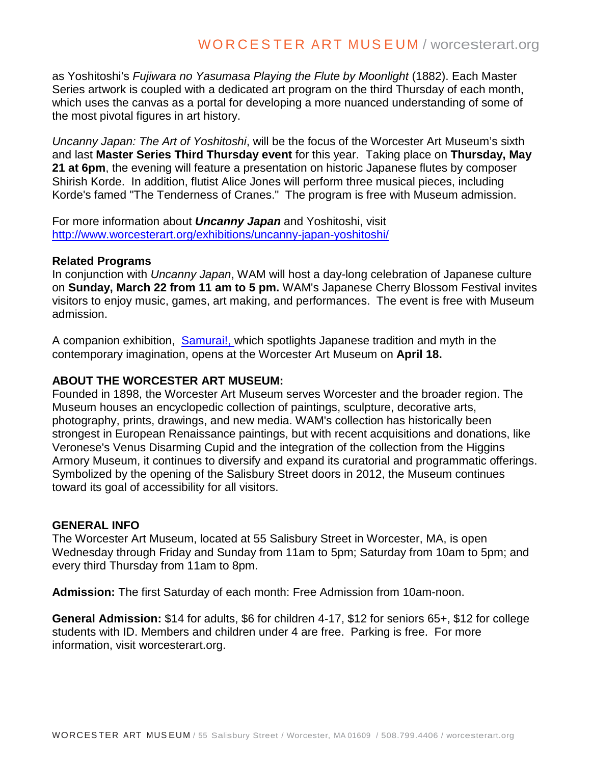as Yoshitoshi's *Fujiwara no Yasumasa Playing the Flute by Moonlight* (1882). Each Master Series artwork is coupled with a dedicated art program on the third Thursday of each month, which uses the canvas as a portal for developing a more nuanced understanding of some of the most pivotal figures in art history.

*Uncanny Japan: The Art of Yoshitoshi*, will be the focus of the Worcester Art Museum's sixth and last **Master Series Third Thursday event** for this year. Taking place on **Thursday, May 21 at 6pm**, the evening will feature a presentation on historic Japanese flutes by composer Shirish Korde. In addition, flutist Alice Jones will perform three musical pieces, including Korde's famed "The Tenderness of Cranes." The program is free with Museum admission.

For more information about *Uncanny Japan* and Yoshitoshi, visit <http://www.worcesterart.org/exhibitions/uncanny-japan-yoshitoshi/>

# **Related Programs**

In conjunction with *Uncanny Japan*, WAM will host a day-long celebration of Japanese culture on **Sunday, March 22 from 11 am to 5 pm.** WAM's Japanese Cherry Blossom Festival invites visitors to enjoy music, games, art making, and performances. The event is free with Museum admission.

A companion exhibition, [Samurai!,](http://r20.rs6.net/tn.jsp?e=001w1lZydE5FpKvaQwTnpAlX6LorkK5RtAfY0A5K0VnaWkYvnEEFcnPlCibGUmg0idkjmpbF90_si-Aur6EBHo4W47E_EffF635L_5NJcSJ9UHnYsvSGs1nzDFYl1cK812Or2iH7IjOrUuibU1TiRmoUA==) which spotlights Japanese tradition and myth in the contemporary imagination, opens at the Worcester Art Museum on **April 18.** 

#### **ABOUT THE WORCESTER ART MUSEUM:**

Founded in 1898, the Worcester Art Museum serves Worcester and the broader region. The Museum houses an encyclopedic collection of paintings, sculpture, decorative arts, photography, prints, drawings, and new media. WAM's collection has historically been strongest in European Renaissance paintings, but with recent acquisitions and donations, like Veronese's Venus Disarming Cupid and the integration of the collection from the Higgins Armory Museum, it continues to diversify and expand its curatorial and programmatic offerings. Symbolized by the opening of the Salisbury Street doors in 2012, the Museum continues toward its goal of accessibility for all visitors.

# **GENERAL INFO**

The Worcester Art Museum, located at 55 Salisbury Street in Worcester, MA, is open Wednesday through Friday and Sunday from 11am to 5pm; Saturday from 10am to 5pm; and every third Thursday from 11am to 8pm.

**Admission:** The first Saturday of each month: Free Admission from 10am-noon.

**General Admission:** \$14 for adults, \$6 for children 4-17, \$12 for seniors 65+, \$12 for college students with ID. Members and children under 4 are free. Parking is free. For more information, visit worcesterart.org.